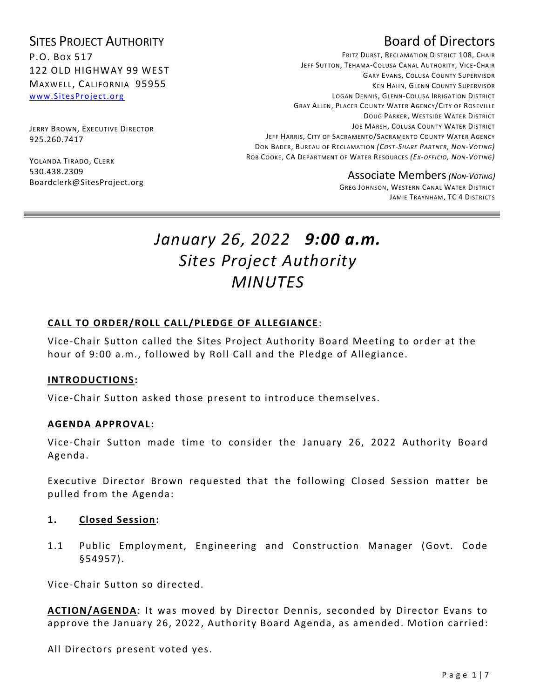## SITES PROJECT AUTHORITY P.O. BOX 517 122 OLD HIGHWAY 99 WEST MAXWELL, CALIFORNIA 95955 [www.SitesProject.org](http://www.sitesproject.org/)

JERRY BROWN, EXECUTIVE DIRECTOR 925.260.7417

YOLANDA TIRADO, CLERK 530.438.2309 Boardclerk@SitesProject.org

# Board of Directors

FRITZ DURST, RECLAMATION DISTRICT 108, CHAIR JEFF SUTTON, TEHAMA-COLUSA CANAL AUTHORITY, VICE-CHAIR GARY EVANS, COLUSA COUNTY SUPERVISOR KEN HAHN, GLENN COUNTY SUPERVISOR LOGAN DENNIS, GLENN-COLUSA IRRIGATION DISTRICT GRAY ALLEN, PLACER COUNTY WATER AGENCY/CITY OF ROSEVILLE DOUG PARKER, WESTSIDE WATER DISTRICT JOE MARSH, COLUSA COUNTY WATER DISTRICT JEFF HARRIS, CITY OF SACRAMENTO/SACRAMENTO COUNTY WATER AGENCY DON BADER, BUREAU OF RECLAMATION *(COST-SHARE PARTNER, NON-VOTING)* ROB COOKE, CA DEPARTMENT OF WATER RESOURCES *(EX-OFFICIO, NON-VOTING)*

Associate Members*(NON-VOTING)*

GREG JOHNSON, WESTERN CANAL WATER DISTRICT JAMIE TRAYNHAM, TC 4 DISTRICTS

# *January 26, 2022 9:00 a.m. Sites Project Authority MINUTES*

#### **CALL TO ORDER/ROLL CALL/PLEDGE OF ALLEGIANCE**:

Vice-Chair Sutton called the Sites Project Authority Board Meeting to order at the hour of 9:00 a.m., followed by Roll Call and the Pledge of Allegiance.

#### **INTRODUCTIONS:**

Vice-Chair Sutton asked those present to introduce themselves.

#### **AGENDA APPROVAL :**

Vice-Chair Sutton made time to consider the January 26, 2022 Authority Board Agenda.

Executive Director Brown requested that the following Closed Session matter be pulled from the Agenda:

#### **1. Closed Session:**

1.1 Public Employment, Engineering and Construction Manager (Govt. Code §54957).

Vice-Chair Sutton so directed.

**ACTION/AGENDA**: It was moved by Director Dennis, seconded by Director Evans to approve the January 26, 2022, Authority Board Agenda, as amended. Motion carried:

All Directors present voted yes.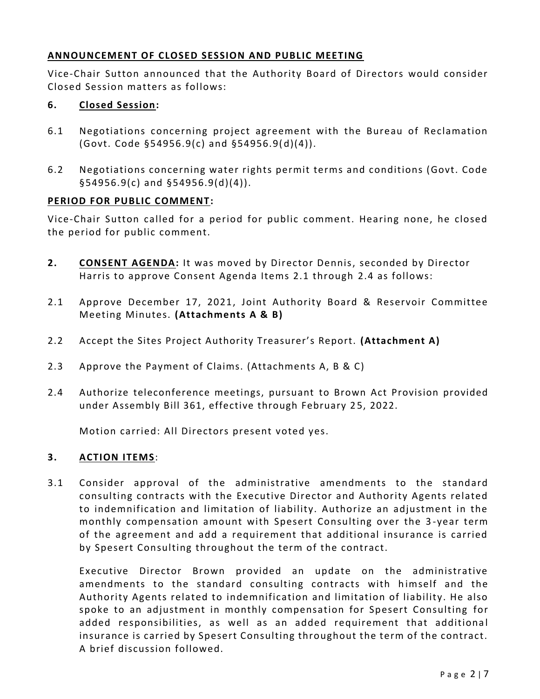#### **ANNOUNCEMENT OF CLOSED SESSION AND PUBLIC MEETING**

Vice-Chair Sutton announced that the Authority Board of Directors would consider Closed Session matters as follows:

#### **6. Closed Session:**

- 6.1 Negotiations concerning project agreement with the Bureau of Reclamation (Govt. Code §54956.9(c) and §54956.9( d)(4)).
- 6.2 Negotiations concerning water rights permit terms and conditions (Govt. Code §54956.9(c) and §54956.9(d)(4)).

#### **PERIOD FOR PUBLIC COMMENT:**

Vice-Chair Sutton called for a period for public comment. Hearing none, he closed the period for public comment.

- **2. CONSENT AGENDA:** It was moved by Director Dennis, seconded by Director Harris to approve Consent Agenda Items 2.1 through 2.4 as follows:
- 2.1 Approve December 17, 2021, Joint Authority Board & Reservoir Committee Meeting Minutes. **(Attachments A & B)**
- 2.2 Accept the Sites Project Authority Treasurer's Report. **(Attachment A)**
- 2.3 Approve the Payment of Claims. (Attachments A, B & C)
- 2.4 Authorize teleconference meetings, pursuant to Brown Act Provision provided under Assembly Bill 361, effective through February 25, 2022.

Motion carried: All Directors present voted yes.

#### **3. ACTION ITEMS**:

3.1 Consider approval of the administrative amendments to the standard consulting contracts with the Executive Director and Authority Agents related to indemnification and limitation of liability. Authorize an adjustment in the monthly compensation amount with Spesert Consulting over the 3 -year term of the agreement and add a requirement that additional insurance is carried by Spesert Consulting throughout the term of the contract.

Executive Director Brown provided an update on the administrative amendments to the standard consulting contracts with himself and the Authority Agents related to indemnification and limitation of liability. He also spoke to an adjustment in monthly compensation for Spesert Consulting for added responsibilities, as well as an added requirement that additional insurance is carried by Spesert Consulting throughout the term of the contract. A brief discussion followed.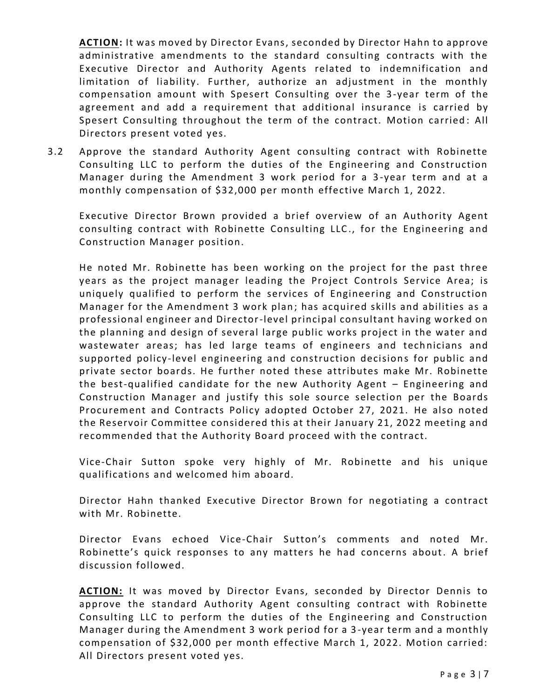**ACTION:** It was moved by Director Evans, seconded by Director Hahn to approve administrative amendments to the standard consulting contracts with the Executive Director and Authority Agents related to indemnification and limitation of liability. Further, authorize an adjustment in the monthly compensation amount with Spesert Consulting over the 3-year term of the agreement and add a requirement that additional insurance is carried by Spesert Consulting throughout the term of the contract. Motion carried: All Directors present voted yes.

3.2 Approve the standard Authority Agent consulting contract with Robinette Consulting LLC to perform the duties of the Engineering and Construction Manager during the Amendment 3 work period for a 3 -year term and at a monthly compensation of \$32,000 per month effective March 1, 2022.

Executive Director Brown provided a brief overview of an Authority Agent consulting contract with Robinette Consulting LLC ., for the Engineering and Construction Manager position.

He noted Mr. Robinette has been working on the project for the past three years as the project manager leading the Project Controls Service Area; is uniquely qualified to perform the services of Engineering and Construction Manager for the Amendment 3 work plan; has acquired skills and abilities as a professional engineer and Director-level principal consultant having worked on the planning and design of several large public works project in the water and wastewater areas; has led large teams of engineers and technicians and supported policy-level engineering and construction decisions for public and private sector boards. He further noted these attributes make Mr. Robinette the best-qualified candidate for the new Authority Agent – Engineering and Construction Manager and justify this sole source selection per the Boards Procurement and Contracts Policy adopted October 27, 2021. He also noted the Reservoir Committee considered this at their January 21, 2022 meeting and recommended that the Authority Board proceed with the contract.

Vice-Chair Sutton spoke very highly of Mr. Robinette and his unique qualifications and welcomed him aboard.

Director Hahn thanked Executive Director Brown for negotiating a contract with Mr. Robinette.

Director Evans echoed Vice-Chair Sutton's comments and noted Mr. Robinette's quick responses to any matters he had concerns about. A brief discussion followed.

**ACTION:** It was moved by Director Evans, seconded by Director Dennis to approve the standard Authority Agent consulting contract with Robinette Consulting LLC to perform the duties of the Engineering and Construction Manager during the Amendment 3 work period for a 3 -year term and a monthly compensation of \$32,000 per month effective March 1, 2022. Motion carried: All Directors present voted yes.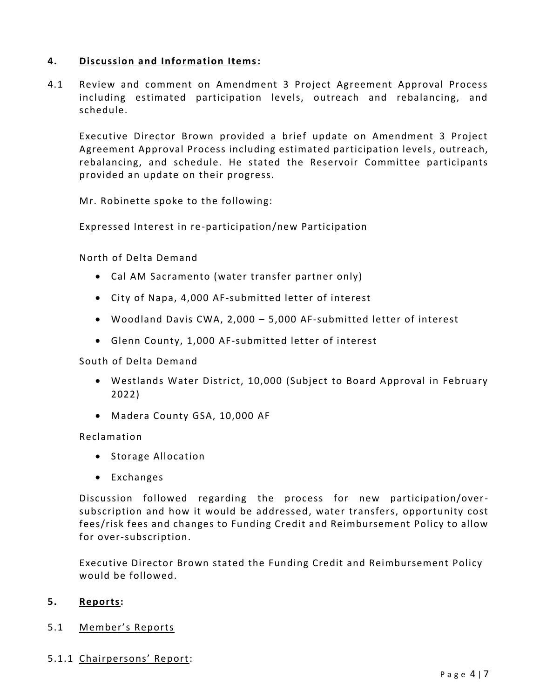#### **4. Discussion and Information Items:**

4.1 Review and comment on Amendment 3 Project Agreement Approval Process including estimated participation levels, outreach and rebalancing, and schedule.

Executive Director Brown provided a brief update on Amendment 3 Project Agreement Approval Process including estimated participation levels, outreach, rebalancing, and schedule. He stated the Reservoir Committee participants provided an update on their progress.

Mr. Robinette spoke to the following:

Expressed Interest in re-participation/new Participation

North of Delta Demand

- Cal AM Sacramento (water transfer partner only)
- City of Napa, 4,000 AF-submitted letter of interest
- Woodland Davis CWA, 2,000 5,000 AF-submitted letter of interest
- Glenn County, 1,000 AF-submitted letter of interest

South of Delta Demand

- Westlands Water District, 10,000 (Subject to Board Approval in February 2022)
- Madera County GSA, 10,000 AF

Reclamation

- Storage Allocation
- Exchanges

Discussion followed regarding the process for new participation/oversubscription and how it would be addressed, water transfers, opportunity cost fees/risk fees and changes to Funding Credit and Reimbursement Policy to allow for over-subscription.

Executive Director Brown stated the Funding Credit and Reimbursement Policy would be followed.

#### **5. Reports:**

#### 5.1 Member's Reports

#### 5.1.1 Chairpersons' Report: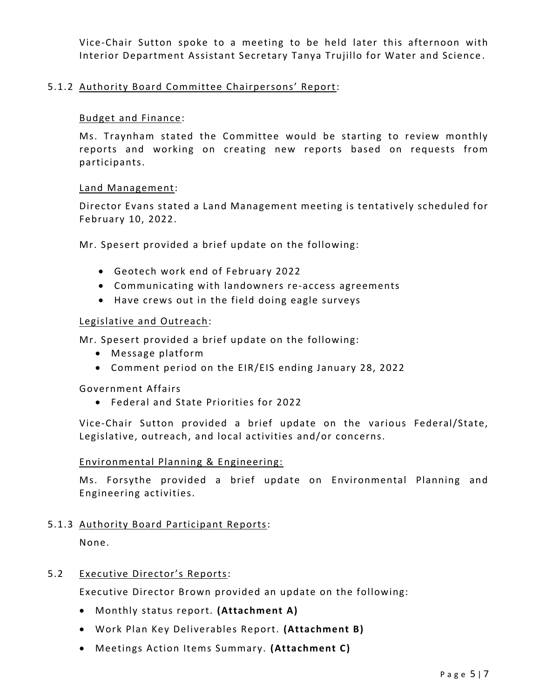Vice-Chair Sutton spoke to a meeting to be held later this afternoon with Interior Department Assistant Secretary Tanya Trujillo for Water and Science .

#### 5.1.2 Authority Board Committee Chairpersons' Report:

#### Budget and Finance:

Ms. Traynham stated the Committee would be starting to review monthly reports and working on creating new reports based on requests from participants.

#### Land Management:

Director Evans stated a Land Management meeting is tentatively scheduled for February 10, 2022.

Mr. Spesert provided a brief update on the following:

- Geotech work end of February 2022
- Communicating with landowners re-access agreements
- Have crews out in the field doing eagle surveys

#### Legislative and Outreach:

Mr. Spesert provided a brief update on the following:

- Message platform
- Comment period on the EIR/EIS ending January 28, 2022

Government Affairs

• Federal and State Priorities for 2022

Vice-Chair Sutton provided a brief update on the various Federal/State, Legislative, outreach, and local activities and/or concerns.

#### Environmental Planning & Engineering:

Ms. Forsythe provided a brief update on Environmental Planning and Engineering activities.

#### 5.1.3 Authority Board Participant Reports:

None.

#### 5.2 Executive Director's Reports:

Executive Director Brown provided an update on the following:

- Monthly status report. **(Attachment A)**
- Work Plan Key Deliverables Report. **(Attachment B)**
- Meetings Action Items Summary. **(Attachment C)**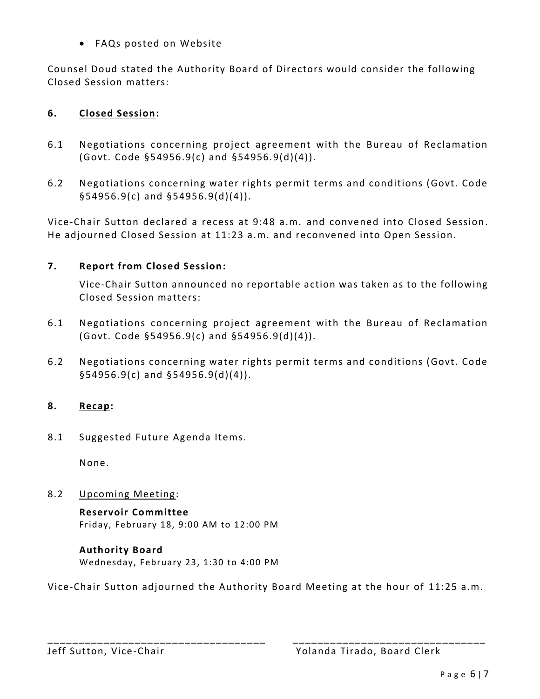• FAQs posted on Website

Counsel Doud stated the Authority Board of Directors would consider the following Closed Session matters:

### **6. Closed Session:**

- 6.1 Negotiations concerning project agreement with the Bureau of Reclamation (Govt. Code §54956.9(c) and §54956.9(d)(4)).
- 6.2 Negotiations concerning water rights permit terms and conditions (Govt. Code §54956.9(c) and §54956.9(d)(4)).

Vice-Chair Sutton declared a recess at 9:48 a.m. and convened into Closed Session. He adjourned Closed Session at 11:23 a.m. and reconvened into Open Session.

### **7. Report from Closed Session:**

Vice-Chair Sutton announced no reportable action was taken as to the following Closed Session matters:

- 6.1 Negotiations concerning project agreement with the Bureau of Reclamation (Govt. Code §54956.9(c) and §54956.9(d)(4)).
- 6.2 Negotiations concerning water rights permit terms and conditions (Govt. Code §54956.9(c) and §54956.9(d)(4)).

### **8. Recap:**

8.1 Suggested Future Agenda Items.

None.

8.2 Upcoming Meeting:

**Reservoir Committee** Friday, February 18, 9:00 AM to 12:00 PM

#### **Authority Board** Wednesday, February 23, 1:30 to 4:00 PM

Vice-Chair Sutton adjourned the Authority Board Meeting at the hour of 11:25 a.m.

\_\_\_\_\_\_\_\_\_\_\_\_\_\_\_\_\_\_\_\_\_\_\_\_\_\_\_\_\_\_\_\_\_\_\_ \_\_\_\_\_\_\_\_\_\_\_\_\_\_\_\_\_\_\_\_\_\_\_\_\_\_\_\_\_\_\_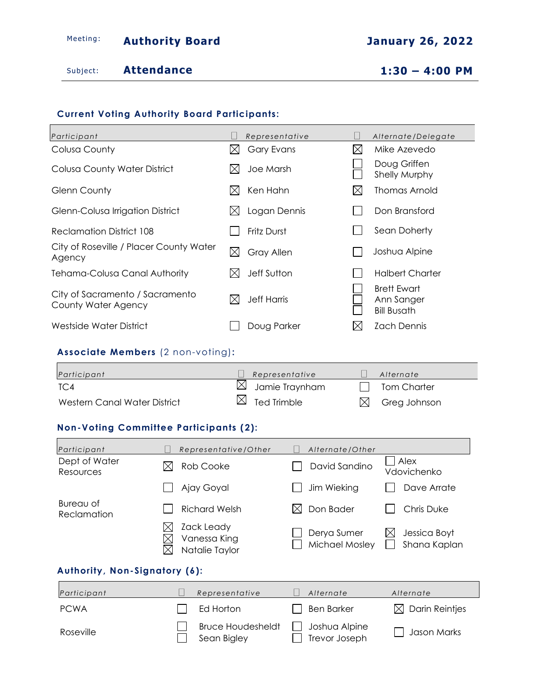# Meeting: **Authority Board Containery 26, 2022**

Subject: **Attendance 1:30 – 4:00 PM**

### **Current Voting Authority Board Participants:**

| Participant                                            |             | Representative     |             | Alternate/Delegate                                     |
|--------------------------------------------------------|-------------|--------------------|-------------|--------------------------------------------------------|
| Colusa County                                          | IХI         | <b>Gary Evans</b>  | $\boxtimes$ | Mike Azevedo                                           |
| Colusa County Water District                           | ⊠           | Joe Marsh          |             | Doug Griffen<br>Shelly Murphy                          |
| Glenn County                                           | IХI         | Ken Hahn           | $\boxtimes$ | Thomas Arnold                                          |
| Glenn-Colusa Irrigation District                       | IХI         | Logan Dennis       |             | Don Bransford                                          |
| <b>Reclamation District 108</b>                        |             | Fritz Durst        |             | Sean Doherty                                           |
| City of Roseville / Placer County Water<br>Agency      | $\boxtimes$ | <b>Gray Allen</b>  |             | Joshua Alpine                                          |
| <b>Tehama-Colusa Canal Authority</b>                   | M           | Jeff Sutton        |             | <b>Halbert Charter</b>                                 |
| City of Sacramento / Sacramento<br>County Water Agency |             | <b>Jeff Harris</b> |             | <b>Brett Ewart</b><br>Ann Sanger<br><b>Bill Busath</b> |
| Westside Water District                                |             | Doug Parker        | IX          | <b>Zach Dennis</b>                                     |

#### **Associate Members** (2 non-voting)**:**

| Participant                  | Representative             | Alternate                |
|------------------------------|----------------------------|--------------------------|
| TC4                          | $\boxtimes$ Jamie Traynham | II Tom Charter           |
| Western Canal Water District | $\boxtimes$ Ted Trimble    | $\boxtimes$ Greg Johnson |

#### **Non-Voting Committee Participants (2):**

| Participant                   | Representative/Other                               | Alternate/Other                |                                    |  |  |
|-------------------------------|----------------------------------------------------|--------------------------------|------------------------------------|--|--|
| Dept of Water<br>Resources    | Rob Cooke<br>IXI                                   | David Sandino                  | Alex<br>Vdovichenko                |  |  |
|                               | Ajay Goyal                                         | Jim Wieking                    | Dave Arrate                        |  |  |
| Bureau of<br>Reclamation      | Richard Welsh                                      | Don Bader<br>ΙXΙ               | Chris Duke                         |  |  |
|                               | Zack Leady<br>ΙX<br>Vanessa King<br>Natalie Taylor | Derya Sumer<br>Michael Mosley  | Jessica Boyt<br>IX<br>Shana Kaplan |  |  |
| Authority, Non-Signatory (6): |                                                    |                                |                                    |  |  |
| Participant                   | Representative                                     | Alternate                      | Alternate                          |  |  |
| <b>PCWA</b>                   | Ed Horton                                          | <b>Ben Barker</b>              | <b>Darin Reintjes</b><br>IХI       |  |  |
| Roseville                     | <b>Bruce Houdesheldt</b><br>Sean Bigley            | Joshua Alpine<br>Trevor Joseph | Jason Marks                        |  |  |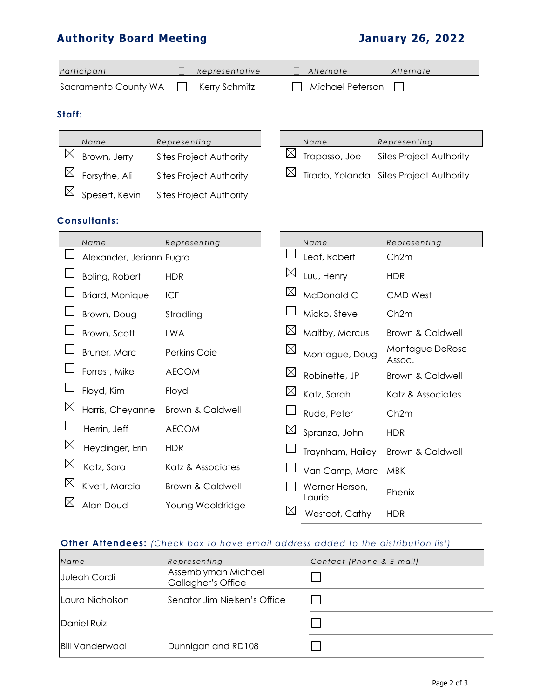# **Authority Board Meeting January 26, 2022**

|             | Participant              |                     | Representative                 |             | Alternate                | Alternate                               |
|-------------|--------------------------|---------------------|--------------------------------|-------------|--------------------------|-----------------------------------------|
|             | Sacramento County WA     |                     | Kerry Schmitz                  |             | Michael Peterson         |                                         |
| Staff:      |                          |                     |                                |             |                          |                                         |
|             | Name                     | Representing        |                                | $\Box$      | Name                     | Representing                            |
| $\boxtimes$ | Brown, Jerry             |                     | <b>Sites Project Authority</b> | $\boxtimes$ | Trapasso, Joe            | <b>Sites Project Authority</b>          |
| $\boxtimes$ | Forsythe, Ali            |                     | <b>Sites Project Authority</b> |             |                          | Tirado, Yolanda Sites Project Authority |
| $\boxtimes$ | Spesert, Kevin           |                     | <b>Sites Project Authority</b> |             |                          |                                         |
|             | <b>Consultants:</b>      |                     |                                |             |                          |                                         |
|             | Name                     | Representing        |                                |             | Name                     | Representing                            |
|             | Alexander, Jeriann Fugro |                     |                                |             | Leaf, Robert             | Ch2m                                    |
|             | Boling, Robert           | <b>HDR</b>          |                                |             | Luu, Henry               | <b>HDR</b>                              |
|             | Briard, Monique          | <b>ICF</b>          |                                | $\boxtimes$ | McDonald C               | <b>CMD West</b>                         |
|             | Brown, Doug              | Stradling           |                                |             | Micko, Steve             | Ch <sub>2</sub> m                       |
|             | Brown, Scott             | <b>LWA</b>          |                                | $\boxtimes$ | Maltby, Marcus           | <b>Brown &amp; Caldwell</b>             |
|             | Bruner, Marc             | <b>Perkins Coie</b> |                                | $\boxtimes$ | Montague, Doug           | Montague DeRose<br>Assoc.               |
|             | Forrest, Mike            | <b>AECOM</b>        |                                | $\boxtimes$ | Robinette, JP            | <b>Brown &amp; Caldwell</b>             |
|             | Floyd, Kim               | Floyd               |                                | $\boxtimes$ | Katz, Sarah              | Katz & Associates                       |
| $\boxtimes$ | Harris, Cheyanne         |                     | <b>Brown &amp; Caldwell</b>    |             | Rude, Peter              | Ch <sub>2m</sub>                        |
|             | Herrin, Jeff             | <b>AECOM</b>        |                                |             | Spranza, John            | <b>HDR</b>                              |
| $\boxtimes$ | Heydinger, Erin          | <b>HDR</b>          |                                |             | Traynham, Hailey         | Brown & Caldwell                        |
| $\boxtimes$ | Katz, Sara               |                     | Katz & Associates              |             | Van Camp, Marc           | <b>MBK</b>                              |
| $\boxtimes$ | Kivett, Marcia           |                     | Brown & Caldwell               |             | Warner Herson,           | Phenix                                  |
| $\boxtimes$ | Alan Doud                |                     | Young Wooldridge               | $\boxtimes$ | Laurie<br>Westcot, Cathy | <b>HDR</b>                              |

# **Other Attendees:** *(Check box to have email address added to the distribution list)*

| Name                   | Representing                              | Contact (Phone & E-mail) |
|------------------------|-------------------------------------------|--------------------------|
| Juleah Cordi           | Assemblyman Michael<br>Gallagher's Office |                          |
| Laura Nicholson        | Senator Jim Nielsen's Office              |                          |
| Daniel Ruiz            |                                           |                          |
| <b>Bill Vanderwaal</b> | Dunnigan and RD108                        |                          |